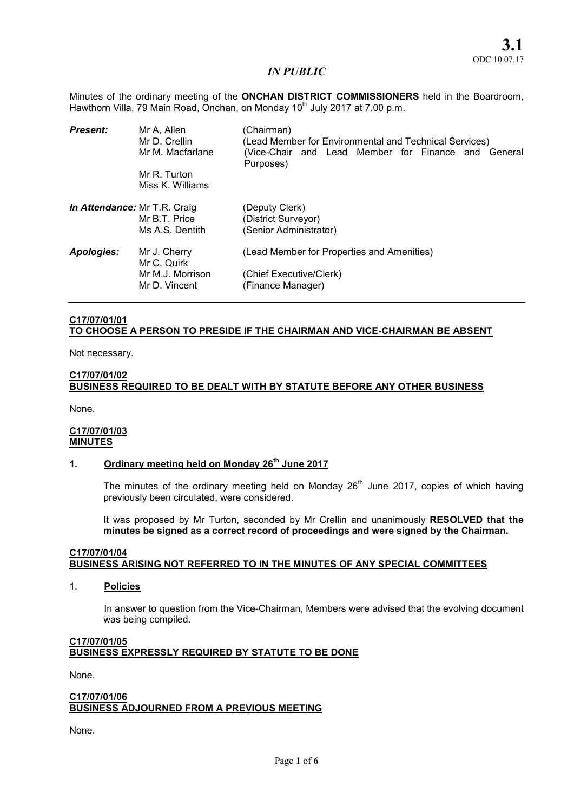Minutes of the ordinary meeting of the **ONCHAN DISTRICT COMMISSIONERS** held in the Boardroom, Hawthorn Villa, 79 Main Road, Onchan, on Monday 10<sup>th</sup> July 2017 at 7.00 p.m.

| <b>Present:</b>                     | Mr A, Allen<br>Mr D. Crellin<br>Mr M. Macfarlane | (Chairman)<br>(Lead Member for Environmental and Technical Services)<br>(Vice-Chair and Lead Member for Finance and General<br>Purposes) |  |
|-------------------------------------|--------------------------------------------------|------------------------------------------------------------------------------------------------------------------------------------------|--|
|                                     | Mr R. Turton<br>Miss K. Williams                 |                                                                                                                                          |  |
| <b>In Attendance: Mr T.R. Craig</b> | Mr B.T. Price<br>Ms A.S. Dentith                 | (Deputy Clerk)<br>(District Surveyor)<br>(Senior Administrator)                                                                          |  |
| Apologies:                          | Mr J. Cherry<br>Mr C. Quirk<br>Mr M.J. Morrison  | (Lead Member for Properties and Amenities)<br>(Chief Executive/Clerk)                                                                    |  |
|                                     | Mr D. Vincent                                    | (Finance Manager)                                                                                                                        |  |

## C17/07/01/01 TO CHOOSE A PERSON TO PRESIDE IF THE CHAIRMAN AND VICE-CHAIRMAN BE ABSENT

Not necessary.

#### C17/07/01/02

# BUSINESS REQUIRED TO BE DEALT WITH BY STATUTE BEFORE ANY OTHER BUSINESS

None.

## C17/07/01/03 **MINUTES**

# 1. Ordinary meeting held on Monday  $26<sup>th</sup>$  June 2017

The minutes of the ordinary meeting held on Monday  $26<sup>th</sup>$  June 2017, copies of which having previously been circulated, were considered.

It was proposed by Mr Turton, seconded by Mr Crellin and unanimously RESOLVED that the minutes be signed as a correct record of proceedings and were signed by the Chairman.

## C17/07/01/04 BUSINESS ARISING NOT REFERRED TO IN THE MINUTES OF ANY SPECIAL COMMITTEES

1. Policies

In answer to question from the Vice-Chairman, Members were advised that the evolving document was being compiled.

## C17/07/01/05 BUSINESS EXPRESSLY REQUIRED BY STATUTE TO BE DONE

None.

#### C17/07/01/06 BUSINESS ADJOURNED FROM A PREVIOUS MEETING

None.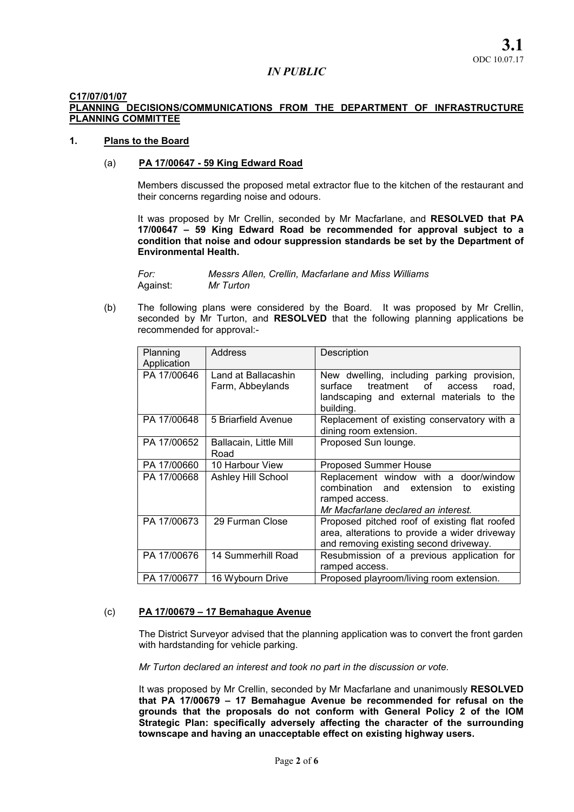#### C17/07/01/07

## PLANNING DECISIONS/COMMUNICATIONS FROM THE DEPARTMENT OF INFRASTRUCTURE PLANNING COMMITTEE

#### 1. Plans to the Board

## (a) PA 17/00647 - 59 King Edward Road

Members discussed the proposed metal extractor flue to the kitchen of the restaurant and their concerns regarding noise and odours.

It was proposed by Mr Crellin, seconded by Mr Macfarlane, and RESOLVED that PA 17/00647 – 59 King Edward Road be recommended for approval subject to a condition that noise and odour suppression standards be set by the Department of Environmental Health.

*For: Messrs Allen, Crellin, Macfarlane and Miss Williams*  Against: *Mr Turton* 

(b) The following plans were considered by the Board. It was proposed by Mr Crellin, seconded by Mr Turton, and RESOLVED that the following planning applications be recommended for approval:-

| Planning<br>Application | <b>Address</b>                          | Description                                                                                                                                             |
|-------------------------|-----------------------------------------|---------------------------------------------------------------------------------------------------------------------------------------------------------|
| PA 17/00646             | Land at Ballacashin<br>Farm, Abbeylands | New dwelling, including parking provision,<br>treatment<br>surface<br>of l<br>road.<br>access<br>landscaping and external materials to the<br>building. |
| PA 17/00648             | 5 Briarfield Avenue                     | Replacement of existing conservatory with a<br>dining room extension.                                                                                   |
| PA 17/00652             | Ballacain, Little Mill<br>Road          | Proposed Sun lounge.                                                                                                                                    |
| PA 17/00660             | 10 Harbour View                         | <b>Proposed Summer House</b>                                                                                                                            |
| PA 17/00668             | <b>Ashley Hill School</b>               | Replacement window with a door/window<br>combination and extension<br>existing<br>to<br>ramped access.<br>Mr Macfarlane declared an interest.           |
| PA 17/00673             | 29 Furman Close                         | Proposed pitched roof of existing flat roofed<br>area, alterations to provide a wider driveway<br>and removing existing second driveway.                |
| PA 17/00676             | 14 Summerhill Road                      | Resubmission of a previous application for<br>ramped access.                                                                                            |
| PA 17/00677             | 16 Wybourn Drive                        | Proposed playroom/living room extension.                                                                                                                |

#### (c) PA 17/00679 – 17 Bemahague Avenue

The District Surveyor advised that the planning application was to convert the front garden with hardstanding for vehicle parking.

*Mr Turton declared an interest and took no part in the discussion or vote.* 

It was proposed by Mr Crellin, seconded by Mr Macfarlane and unanimously RESOLVED that PA 17/00679 – 17 Bemahague Avenue be recommended for refusal on the grounds that the proposals do not conform with General Policy 2 of the IOM Strategic Plan: specifically adversely affecting the character of the surrounding townscape and having an unacceptable effect on existing highway users.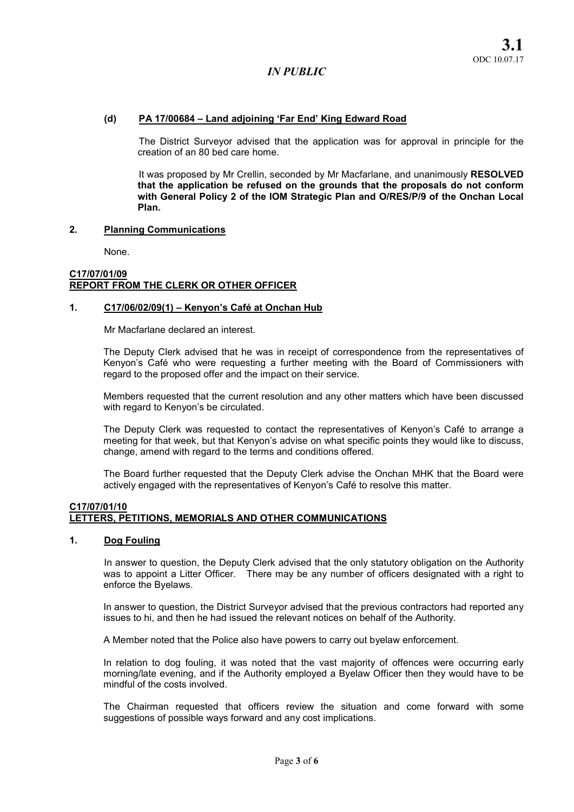## (d) PA 17/00684 – Land adjoining 'Far End' King Edward Road

The District Surveyor advised that the application was for approval in principle for the creation of an 80 bed care home.

It was proposed by Mr Crellin, seconded by Mr Macfarlane, and unanimously RESOLVED that the application be refused on the grounds that the proposals do not conform with General Policy 2 of the IOM Strategic Plan and O/RES/P/9 of the Onchan Local Plan.

#### 2. Planning Communications

None.

## C17/07/01/09 REPORT FROM THE CLERK OR OTHER OFFICER

#### 1. C17/06/02/09(1) – Kenyon's Café at Onchan Hub

Mr Macfarlane declared an interest.

The Deputy Clerk advised that he was in receipt of correspondence from the representatives of Kenyon's Café who were requesting a further meeting with the Board of Commissioners with regard to the proposed offer and the impact on their service.

Members requested that the current resolution and any other matters which have been discussed with regard to Kenyon's be circulated.

The Deputy Clerk was requested to contact the representatives of Kenyon's Café to arrange a meeting for that week, but that Kenyon's advise on what specific points they would like to discuss, change, amend with regard to the terms and conditions offered.

The Board further requested that the Deputy Clerk advise the Onchan MHK that the Board were actively engaged with the representatives of Kenyon's Café to resolve this matter.

## C17/07/01/10 LETTERS, PETITIONS, MEMORIALS AND OTHER COMMUNICATIONS

#### 1. Dog Fouling

In answer to question, the Deputy Clerk advised that the only statutory obligation on the Authority was to appoint a Litter Officer. There may be any number of officers designated with a right to enforce the Byelaws.

In answer to question, the District Surveyor advised that the previous contractors had reported any issues to hi, and then he had issued the relevant notices on behalf of the Authority.

A Member noted that the Police also have powers to carry out byelaw enforcement.

In relation to dog fouling, it was noted that the vast majority of offences were occurring early morning/late evening, and if the Authority employed a Byelaw Officer then they would have to be mindful of the costs involved.

The Chairman requested that officers review the situation and come forward with some suggestions of possible ways forward and any cost implications.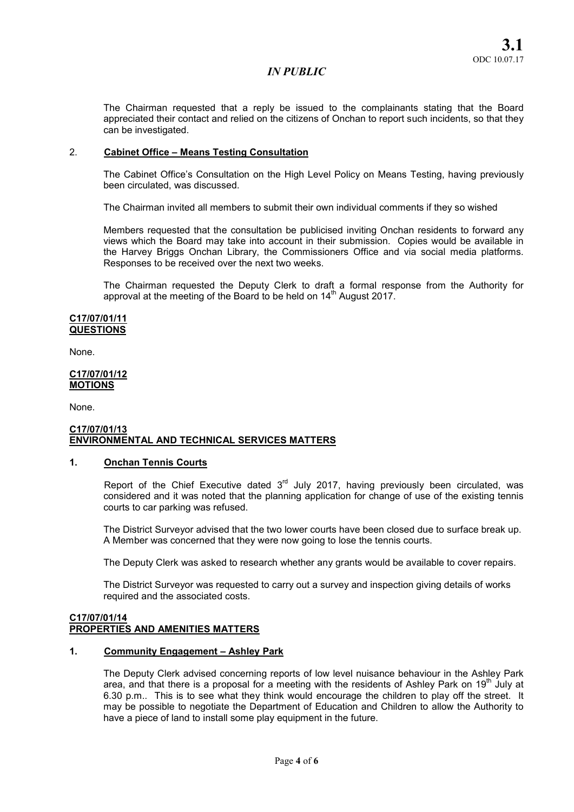The Chairman requested that a reply be issued to the complainants stating that the Board appreciated their contact and relied on the citizens of Onchan to report such incidents, so that they can be investigated.

## 2. Cabinet Office – Means Testing Consultation

The Cabinet Office's Consultation on the High Level Policy on Means Testing, having previously been circulated, was discussed.

The Chairman invited all members to submit their own individual comments if they so wished

Members requested that the consultation be publicised inviting Onchan residents to forward any views which the Board may take into account in their submission. Copies would be available in the Harvey Briggs Onchan Library, the Commissioners Office and via social media platforms. Responses to be received over the next two weeks.

The Chairman requested the Deputy Clerk to draft a formal response from the Authority for approval at the meeting of the Board to be held on 14<sup>th</sup> August 2017.

#### C17/07/01/11 QUESTIONS

None.

#### C17/07/01/12 **MOTIONS**

None.

## C17/07/01/13 ENVIRONMENTAL AND TECHNICAL SERVICES MATTERS

#### 1. Onchan Tennis Courts

Report of the Chief Executive dated  $3<sup>rd</sup>$  July 2017, having previously been circulated, was considered and it was noted that the planning application for change of use of the existing tennis courts to car parking was refused.

The District Surveyor advised that the two lower courts have been closed due to surface break up. A Member was concerned that they were now going to lose the tennis courts.

The Deputy Clerk was asked to research whether any grants would be available to cover repairs.

The District Surveyor was requested to carry out a survey and inspection giving details of works required and the associated costs.

#### C17/07/01/14 PROPERTIES AND AMENITIES MATTERS

#### 1. Community Engagement – Ashley Park

The Deputy Clerk advised concerning reports of low level nuisance behaviour in the Ashley Park area, and that there is a proposal for a meeting with the residents of Ashley Park on 19<sup>th</sup> July at 6.30 p.m.. This is to see what they think would encourage the children to play off the street. It may be possible to negotiate the Department of Education and Children to allow the Authority to have a piece of land to install some play equipment in the future.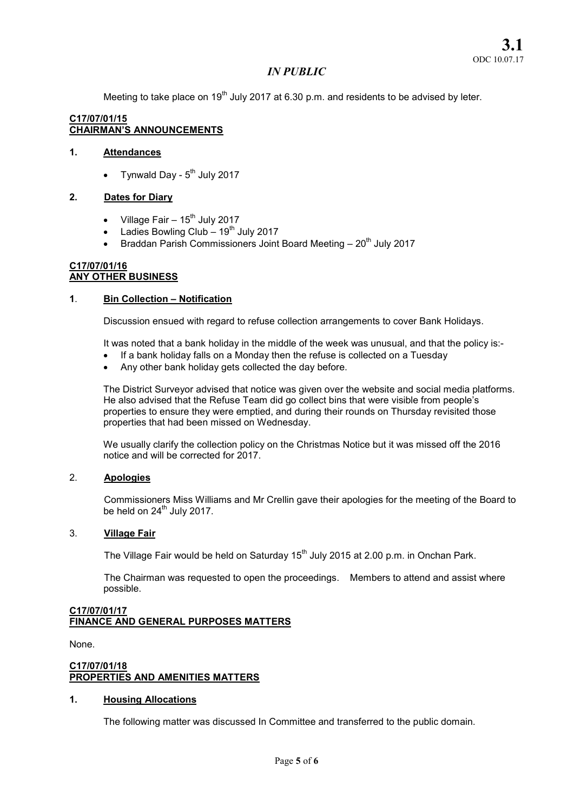Meeting to take place on 19<sup>th</sup> July 2017 at 6.30 p.m. and residents to be advised by leter.

## C17/07/01/15 CHAIRMAN'S ANNOUNCEMENTS

## 1. Attendances

Tynwald Day -  $5<sup>th</sup>$  July 2017

## 2. Dates for Diary

- Village Fair  $-15^{th}$  July 2017
- $\bullet$  Ladies Bowling Club 19<sup>th</sup> July 2017
- **Braddan Parish Commissioners Joint Board Meeting 20<sup>th</sup> July 2017**

#### C17/07/01/16 ANY OTHER BUSINESS

## 1. Bin Collection – Notification

Discussion ensued with regard to refuse collection arrangements to cover Bank Holidays.

It was noted that a bank holiday in the middle of the week was unusual, and that the policy is:-

- If a bank holiday falls on a Monday then the refuse is collected on a Tuesday
- Any other bank holiday gets collected the day before.

The District Surveyor advised that notice was given over the website and social media platforms. He also advised that the Refuse Team did go collect bins that were visible from people's properties to ensure they were emptied, and during their rounds on Thursday revisited those properties that had been missed on Wednesday.

We usually clarify the collection policy on the Christmas Notice but it was missed off the 2016 notice and will be corrected for 2017.

## 2. Apologies

Commissioners Miss Williams and Mr Crellin gave their apologies for the meeting of the Board to be held on  $24^{th}$  July 2017.

#### 3. Village Fair

The Village Fair would be held on Saturday  $15<sup>th</sup>$  July 2015 at 2.00 p.m. in Onchan Park.

The Chairman was requested to open the proceedings. Members to attend and assist where possible.

## C17/07/01/17 FINANCE AND GENERAL PURPOSES MATTERS

None.

#### C17/07/01/18 PROPERTIES AND AMENITIES MATTERS

## 1. Housing Allocations

The following matter was discussed In Committee and transferred to the public domain.